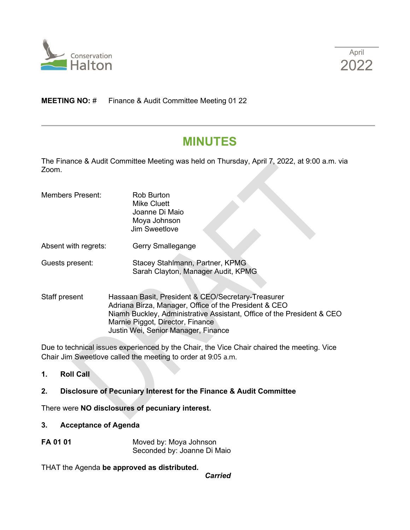

## **MEETING NO: # Finance & Audit Committee Meeting 01 22**

# **MINUTES**

The Finance & Audit Committee Meeting was held on Thursday, April 7, 2022, at 9:00 a.m. via Zoom.

| <b>Members Present:</b> | <b>Rob Burton</b><br>Mike Cluett<br>Joanne Di Maio<br>Moya Johnson<br>Jim Sweetlove |
|-------------------------|-------------------------------------------------------------------------------------|
| Absent with regrets:    | Gerry Smallegange                                                                   |
| Guests present:         | Stacey Stahlmann, Partner, KPMG<br>Sarah Clayton, Manager Audit, KPMG               |

Staff present Hassaan Basit, President & CEO/Secretary-Treasurer Adriana Birza, Manager, Office of the President & CEO Niamh Buckley, Administrative Assistant, Office of the President & CEO Marnie Piggot, Director, Finance Justin Wei, Senior Manager, Finance

Due to technical issues experienced by the Chair, the Vice Chair chaired the meeting. Vice Chair Jim Sweetlove called the meeting to order at 9:05 a.m.

**1. Roll Call**

### **2. Disclosure of Pecuniary Interest for the Finance & Audit Committee**

There were **NO disclosures of pecuniary interest.** 

- **3. Acceptance of Agenda**
- **FA 01 01** Moved by: Moya Johnson Seconded by: Joanne Di Maio

THAT the Agenda **be approved as distributed.** 

*Carried*